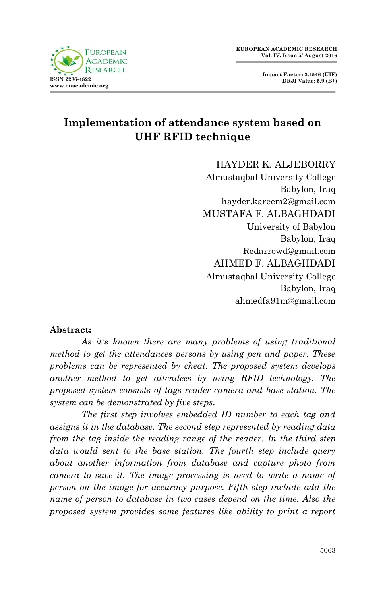

# **Implementation of attendance system based on UHF RFID technique**

HAYDER K. ALJEBORRY Almustaqbal University College Babylon, Iraq hayder.kareem2@gmail.com MUSTAFA F. ALBAGHDADI University of Babylon Babylon, Iraq Redarrowd@gmail.com AHMED F. ALBAGHDADI Almustaqbal University College Babylon, Iraq ahmedfa91m@gmail.com

#### **Abstract:**

*As it's known there are many problems of using traditional method to get the attendances persons by using pen and paper. These problems can be represented by cheat. The proposed system develops another method to get attendees by using RFID technology. The proposed system consists of tags reader camera and base station. The system can be demonstrated by five steps.*

*The first step involves embedded ID number to each tag and assigns it in the database. The second step represented by reading data from the tag inside the reading range of the reader. In the third step data would sent to the base station. The fourth step include query about another information from database and capture photo from camera to save it. The image processing is used to write a name of person on the image for accuracy purpose. Fifth step include add the name of person to database in two cases depend on the time. Also the proposed system provides some features like ability to print a report*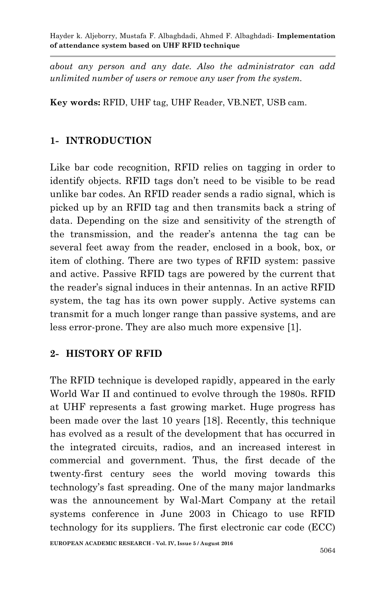*about any person and any date. Also the administrator can add unlimited number of users or remove any user from the system.*

**Key words:** RFID, UHF tag, UHF Reader, VB.NET, USB cam.

# **1- INTRODUCTION**

Like bar code recognition, RFID relies on tagging in order to identify objects. RFID tags don't need to be visible to be read unlike bar codes. An RFID reader sends a radio signal, which is picked up by an RFID tag and then transmits back a string of data. Depending on the size and sensitivity of the strength of the transmission, and the reader's antenna the tag can be several feet away from the reader, enclosed in a book, box, or item of clothing. There are two types of RFID system: passive and active. Passive RFID tags are powered by the current that the reader's signal induces in their antennas. In an active RFID system, the tag has its own power supply. Active systems can transmit for a much longer range than passive systems, and are less error-prone. They are also much more expensive [1].

### **2- HISTORY OF RFID**

The RFID technique is developed rapidly, appeared in the early World War II and continued to evolve through the 1980s. RFID at UHF represents a fast growing market. Huge progress has been made over the last 10 years [18]. Recently, this technique has evolved as a result of the development that has occurred in the integrated circuits, radios, and an increased interest in commercial and government. Thus, the first decade of the twenty-first century sees the world moving towards this technology's fast spreading. One of the many major landmarks was the announcement by Wal-Mart Company at the retail systems conference in June 2003 in Chicago to use RFID technology for its suppliers. The first electronic car code (ECC)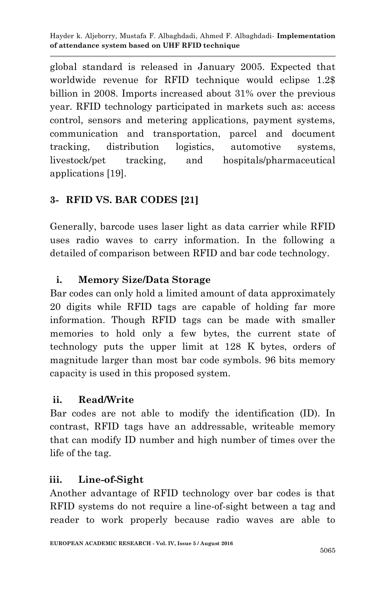global standard is released in January 2005. Expected that worldwide revenue for RFID technique would eclipse 1.2\$ billion in 2008. Imports increased about 31% over the previous year. RFID technology participated in markets such as: access control, sensors and metering applications, payment systems, communication and transportation, parcel and document tracking, distribution logistics, automotive systems, livestock/pet tracking, and hospitals/pharmaceutical applications [19].

# **3- RFID VS. BAR CODES [21]**

Generally, barcode uses laser light as data carrier while RFID uses radio waves to carry information. In the following a detailed of comparison between RFID and bar code technology.

# **i. Memory Size/Data Storage**

Bar codes can only hold a limited amount of data approximately 20 digits while RFID tags are capable of holding far more information. Though RFID tags can be made with smaller memories to hold only a few bytes, the current state of technology puts the upper limit at 128 K bytes, orders of magnitude larger than most bar code symbols. 96 bits memory capacity is used in this proposed system.

### **ii. Read/Write**

Bar codes are not able to modify the identification (ID). In contrast, RFID tags have an addressable, writeable memory that can modify ID number and high number of times over the life of the tag.

# **iii. Line-of-Sight**

Another advantage of RFID technology over bar codes is that RFID systems do not require a line-of-sight between a tag and reader to work properly because radio waves are able to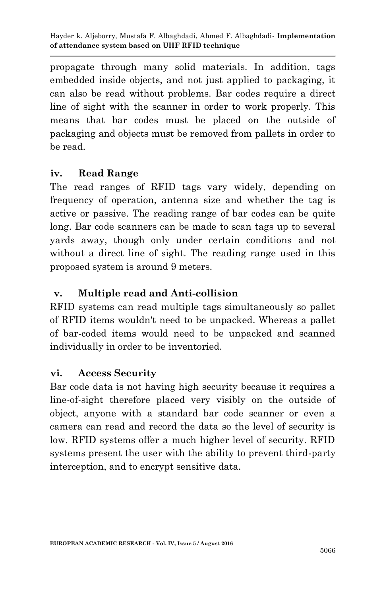propagate through many solid materials. In addition, tags embedded inside objects, and not just applied to packaging, it can also be read without problems. Bar codes require a direct line of sight with the scanner in order to work properly. This means that bar codes must be placed on the outside of packaging and objects must be removed from pallets in order to be read.

#### **iv. Read Range**

The read ranges of RFID tags vary widely, depending on frequency of operation, antenna size and whether the tag is active or passive. The reading range of bar codes can be quite long. Bar code scanners can be made to scan tags up to several yards away, though only under certain conditions and not without a direct line of sight. The reading range used in this proposed system is around 9 meters.

### **v. Multiple read and Anti-collision**

RFID systems can read multiple tags simultaneously so pallet of RFID items wouldn't need to be unpacked. Whereas a pallet of bar-coded items would need to be unpacked and scanned individually in order to be inventoried.

### **vi. Access Security**

Bar code data is not having high security because it requires a line-of-sight therefore placed very visibly on the outside of object, anyone with a standard bar code scanner or even a camera can read and record the data so the level of security is low. RFID systems offer a much higher level of security. RFID systems present the user with the ability to prevent third-party interception, and to encrypt sensitive data.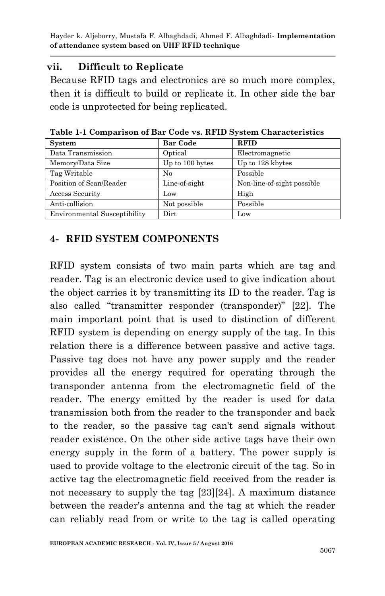# **vii. Difficult to Replicate**

Because RFID tags and electronics are so much more complex, then it is difficult to build or replicate it. In other side the bar code is unprotected for being replicated.

| <b>System</b>                       | <b>Bar Code</b> | <b>RFID</b>                |
|-------------------------------------|-----------------|----------------------------|
| Data Transmission                   | Optical         | Electromagnetic            |
| Memory/Data Size                    | Up to 100 bytes | Up to 128 kbytes           |
| Tag Writable                        | No              | Possible                   |
| Position of Scan/Reader             | Line-of-sight   | Non-line-of-sight possible |
| Access Security                     | $_{\text{low}}$ | High                       |
| Anti-collision                      | Not possible    | Possible                   |
| <b>Environmental Susceptibility</b> | Dirt            | Low                        |

**Table 1-1 Comparison of Bar Code vs. RFID System Characteristics**

# **4- RFID SYSTEM COMPONENTS**

RFID system consists of two main parts which are tag and reader. Tag is an electronic device used to give indication about the object carries it by transmitting its ID to the reader. Tag is also called "transmitter responder (transponder)" [22]. The main important point that is used to distinction of different RFID system is depending on energy supply of the tag. In this relation there is a difference between passive and active tags. Passive tag does not have any power supply and the reader provides all the energy required for operating through the transponder antenna from the electromagnetic field of the reader. The energy emitted by the reader is used for data transmission both from the reader to the transponder and back to the reader, so the passive tag can't send signals without reader existence. On the other side active tags have their own energy supply in the form of a battery. The power supply is used to provide voltage to the electronic circuit of the tag. So in active tag the electromagnetic field received from the reader is not necessary to supply the tag [23][24]. A maximum distance between the reader's antenna and the tag at which the reader can reliably read from or write to the tag is called operating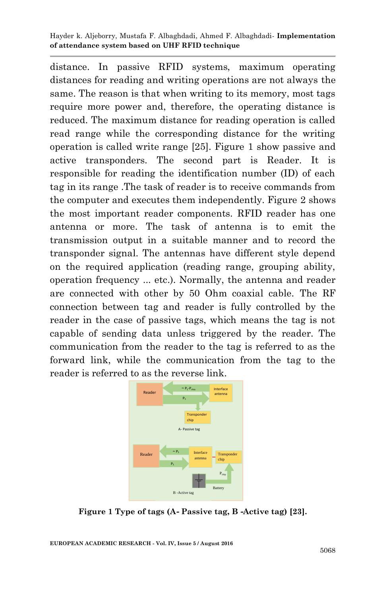distance. In passive RFID systems, maximum operating distances for reading and writing operations are not always the same. The reason is that when writing to its memory, most tags require more power and, therefore, the operating distance is reduced. The maximum distance for reading operation is called read range while the corresponding distance for the writing operation is called write range [25]. Figure 1 show passive and active transponders. The second part is Reader. It is responsible for reading the identification number (ID) of each tag in its range .The task of reader is to receive commands from the computer and executes them independently. Figure 2 shows the most important reader components. RFID reader has one antenna or more. The task of antenna is to emit the transmission output in a suitable manner and to record the transponder signal. The antennas have different style depend on the required application (reading range, grouping ability, operation frequency ... etc.). Normally, the antenna and reader are connected with other by 50 Ohm coaxial cable. The RF connection between tag and reader is fully controlled by the reader in the case of passive tags, which means the tag is not capable of sending data unless triggered by the reader. The communication from the reader to the tag is referred to as the forward link, while the communication from the tag to the reader is referred to as the reverse link.



**Figure 1 Type of tags (A- Passive tag, B -Active tag) [23].**

**EUROPEAN ACADEMIC RESEARCH - Vol. IV, Issue 5 / August 2016**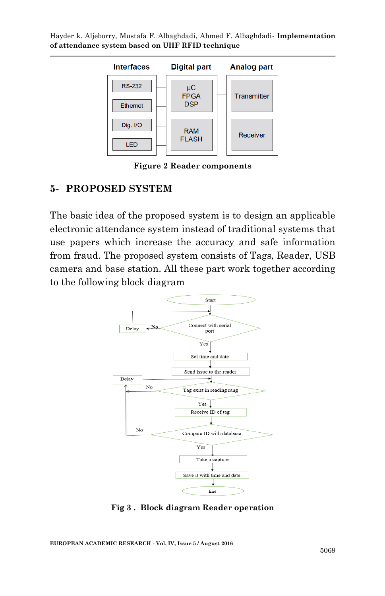

**Figure 2 Reader components**

#### **5- PROPOSED SYSTEM**

The basic idea of the proposed system is to design an applicable electronic attendance system instead of traditional systems that use papers which increase the accuracy and safe information from fraud. The proposed system consists of Tags, Reader, USB camera and base station. All these part work together according to the following block diagram



**Fig 3 . Block diagram Reader operation**

**EUROPEAN ACADEMIC RESEARCH - Vol. IV, Issue 5 / August 2016**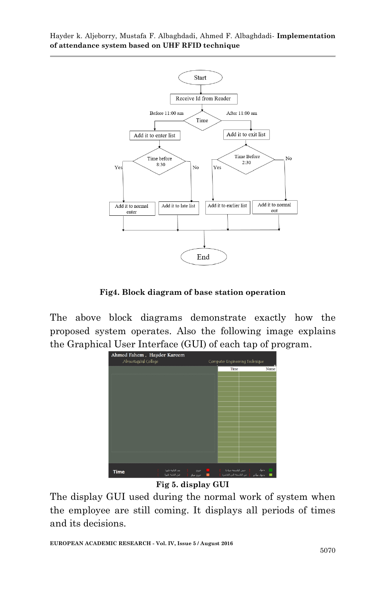

**Fig4. Block diagram of base station operation**

The above block diagrams demonstrate exactly how the proposed system operates. Also the following image explains the Graphical User Interface (GUI) of each tap of program.



**Fig 5. display GUI**

The display GUI used during the normal work of system when the employee are still coming. It displays all periods of times and its decisions.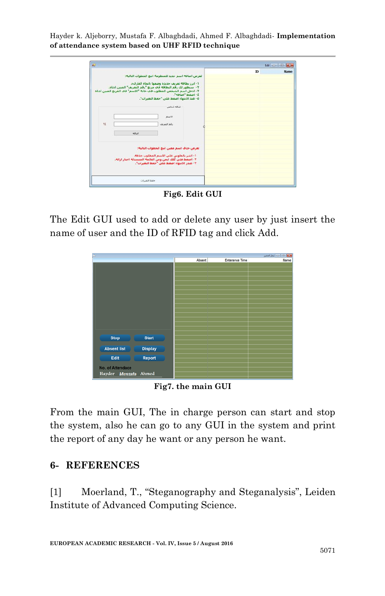|                 |                                                                                                                                 |                                                                                                                                                                       |           | Edit   can   City |
|-----------------|---------------------------------------------------------------------------------------------------------------------------------|-----------------------------------------------------------------------------------------------------------------------------------------------------------------------|-----------|-------------------|
|                 | ٢- سيطهر لك رفع النظافة في مربع "رفع التعريف" المبين ادناه.<br>٣- ادخل اسم الشخص المطلوب فف خانه "الاسم" فف المربع المبين ادناه | لغرض اضافه اسم جديد للمنظومة اتبع الخطوات الناليه:<br>١- ابرز بطاقه تعريف جديده وضعها باتحاه القاريء.<br>٤- اصغط "اصافه".<br>٥- عبد الأبيعاء أضغط على "حفظ البعيرات". | <b>ID</b> | <b>Name</b>       |
|                 |                                                                                                                                 |                                                                                                                                                                       |           |                   |
| $\tau \epsilon$ | اضافه                                                                                                                           | اضافه شخص<br>الاسم<br>رقم التعريف                                                                                                                                     |           |                   |
|                 | ٢- اصغط على كلك ايمن ومن القائمة المتسدلة اختار ازالة.                                                                          | لعرض حذف اسم معين اتبع الخطوات النالية:<br>1- اشر بالماوس على الأسم المطلوب حذفة.<br>٢- عبدر الابتهاء اصغط على "حفظ التغيرات".                                        |           |                   |
|                 | حفظ التغيرات                                                                                                                    |                                                                                                                                                                       |           |                   |

**Fig6. Edit GUI**

The Edit GUI used to add or delete any user by just insert the name of user and the ID of RFID tag and click Add.

| $\Box$<br><mark>ست ا</mark> ⊙∫ ت  سجل الحضور |                |        |                       |      |  |  |
|----------------------------------------------|----------------|--------|-----------------------|------|--|--|
|                                              |                | Absent | <b>Enterance Time</b> | Name |  |  |
|                                              |                |        |                       |      |  |  |
|                                              |                |        |                       |      |  |  |
|                                              |                |        |                       |      |  |  |
|                                              |                |        |                       |      |  |  |
|                                              |                |        |                       |      |  |  |
|                                              |                |        |                       |      |  |  |
|                                              |                |        |                       |      |  |  |
|                                              |                |        |                       |      |  |  |
|                                              |                |        |                       |      |  |  |
|                                              |                |        |                       |      |  |  |
|                                              |                |        |                       |      |  |  |
|                                              |                |        |                       |      |  |  |
|                                              |                |        |                       |      |  |  |
|                                              |                |        |                       |      |  |  |
|                                              |                |        |                       |      |  |  |
|                                              |                |        |                       |      |  |  |
| <b>Stop</b>                                  | <b>Start</b>   |        |                       |      |  |  |
|                                              |                |        |                       |      |  |  |
| <b>Absent list</b>                           | <b>Display</b> |        |                       |      |  |  |
|                                              |                |        |                       |      |  |  |
| Edit                                         | Report         |        |                       |      |  |  |
|                                              |                |        |                       |      |  |  |
| <b>No. of Attendace</b>                      |                |        |                       |      |  |  |
|                                              |                |        |                       |      |  |  |
| Hayder                                       | Mustafa Ahmed  |        |                       |      |  |  |
|                                              |                |        |                       |      |  |  |

**Fig7. the main GUI**

From the main GUI, The in charge person can start and stop the system, also he can go to any GUI in the system and print the report of any day he want or any person he want.

#### **6- REFERENCES**

[1] Moerland, T., "Steganography and Steganalysis", Leiden Institute of Advanced Computing Science.